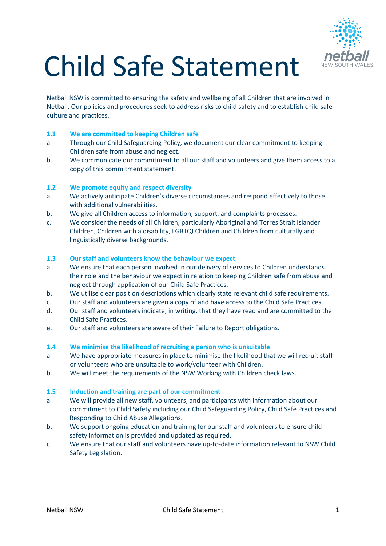

# Child Safe Statement

Netball NSW is committed to ensuring the safety and wellbeing of all Children that are involved in Netball. Our policies and procedures seek to address risks to child safety and to establish child safe culture and practices.

# **1.1 We are committed to keeping Children safe**

- a. Through our Child Safeguarding Policy, we document our clear commitment to keeping Children safe from abuse and neglect.
- b. We communicate our commitment to all our staff and volunteers and give them access to a copy of this commitment statement.

#### **1.2 We promote equity and respect diversity**

- a. We actively anticipate Children's diverse circumstances and respond effectively to those with additional vulnerabilities.
- b. We give all Children access to information, support, and complaints processes.
- c. We consider the needs of all Children, particularly Aboriginal and Torres Strait Islander Children, Children with a disability, LGBTQI Children and Children from culturally and linguistically diverse backgrounds.

#### **1.3 Our staff and volunteers know the behaviour we expect**

- a. We ensure that each person involved in our delivery of services to Children understands their role and the behaviour we expect in relation to keeping Children safe from abuse and neglect through application of our Child Safe Practices.
- b. We utilise clear position descriptions which clearly state relevant child safe requirements.
- c. Our staff and volunteers are given a copy of and have access to the Child Safe Practices.
- d. Our staff and volunteers indicate, in writing, that they have read and are committed to the Child Safe Practices.
- e. Our staff and volunteers are aware of their Failure to Report obligations.

#### **1.4 We minimise the likelihood of recruiting a person who is unsuitable**

- a. We have appropriate measures in place to minimise the likelihood that we will recruit staff or volunteers who are unsuitable to work/volunteer with Children.
- b. We will meet the requirements of the NSW Working with Children check laws.

#### **1.5 Induction and training are part of our commitment**

- a. We will provide all new staff, volunteers, and participants with information about our commitment to Child Safety including our Child Safeguarding Policy, Child Safe Practices and Responding to Child Abuse Allegations.
- b. We support ongoing education and training for our staff and volunteers to ensure child safety information is provided and updated as required.
- c. We ensure that our staff and volunteers have up-to-date information relevant to NSW Child Safety Legislation.